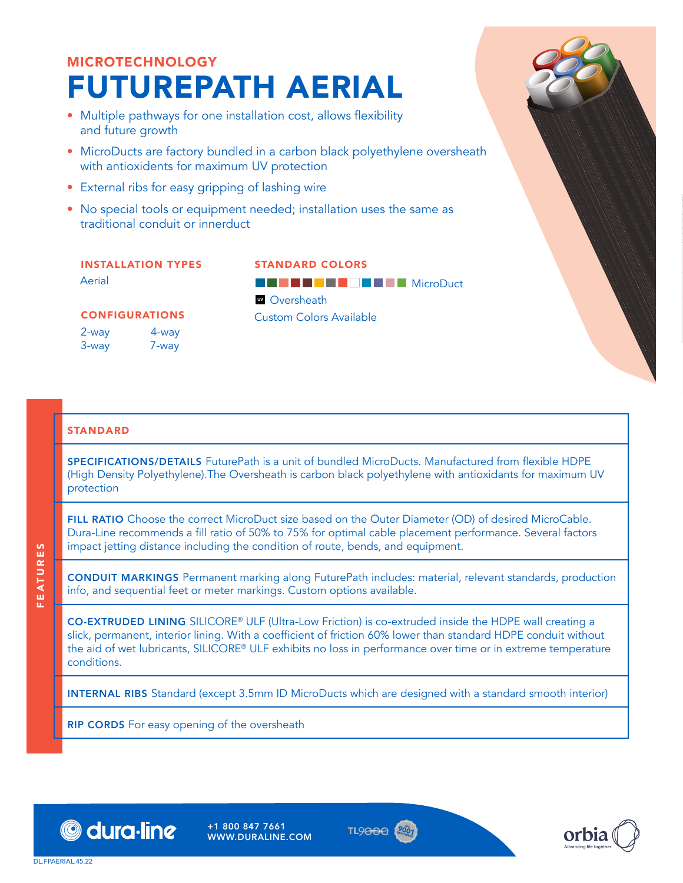# MICROTECHNOLOGY FUTUREPATH AERIAL

- Multiple pathways for one installation cost, allows flexibility and future growth
- MicroDucts are factory bundled in a carbon black polyethylene oversheath with antioxidents for maximum UV protection
- External ribs for easy gripping of lashing wire
- No special tools or equipment needed; installation uses the same as traditional conduit or innerduct

#### INSTALLATION TYPES Aerial

## STANDARD COLORS

CONFIGURATIONS

2-way 3-way 4-way 7-way

**BBBBBC BBC MicroDuct W** Oversheath Custom Colors Available

#### **STANDARD**

SPECIFICATIONS/DETAILS FuturePath is a unit of bundled MicroDucts. Manufactured from flexible HDPE (High Density Polyethylene).The Oversheath is carbon black polyethylene with antioxidants for maximum UV protection

FILL RATIO Choose the correct MicroDuct size based on the Outer Diameter (OD) of desired MicroCable. Dura-Line recommends a fill ratio of 50% to 75% for optimal cable placement performance. Several factors impact jetting distance including the condition of route, bends, and equipment.

CONDUIT MARKINGS Permanent marking along FuturePath includes: material, relevant standards, production info, and sequential feet or meter markings. Custom options available.

CO-EXTRUDED LINING SILICORE® ULF (Ultra-Low Friction) is co-extruded inside the HDPE wall creating a slick, permanent, interior lining. With a coefficient of friction 60% lower than standard HDPE conduit without the aid of wet lubricants, SILICORE® ULF exhibits no loss in performance over time or in extreme temperature conditions.

INTERNAL RIBS Standard (except 3.5mm ID MicroDucts which are designed with a standard smooth interior)

RIP CORDS For easy opening of the oversheath





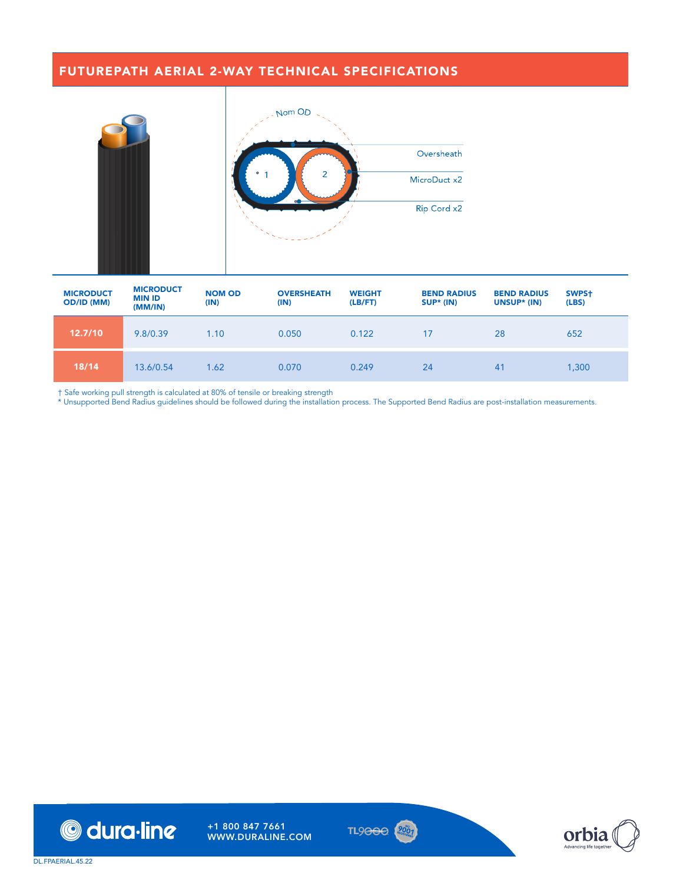### FUTUREPATH AERIAL 2-WAY TECHNICAL SPECIFICATIONS



| <b>MICRODUCT</b><br><b>OD/ID (MM)</b> | <b>MICRODUCT</b><br><b>MIN ID</b><br>(MM/IN) | <b>NOM OD</b><br>(IN) | <b>OVERSHEATH</b><br>(IN) | <b>WEIGHT</b><br>(LB/FT) | <b>BEND RADIUS</b><br>SUP* (IN) | <b>BEND RADIUS</b><br>UNSUP* (IN) | SWPS <sup>+</sup><br>(LES) |
|---------------------------------------|----------------------------------------------|-----------------------|---------------------------|--------------------------|---------------------------------|-----------------------------------|----------------------------|
| 12.7/10                               | 9.8/0.39                                     | 1.10                  | 0.050                     | 0.122                    | 17                              | 28                                | 652                        |
| 18/14                                 | 13.6/0.54                                    | 1.62                  | 0.070                     | 0.249                    | 24                              | 41                                | 1,300                      |

† Safe working pull strength is calculated at 80% of tensile or breaking strength





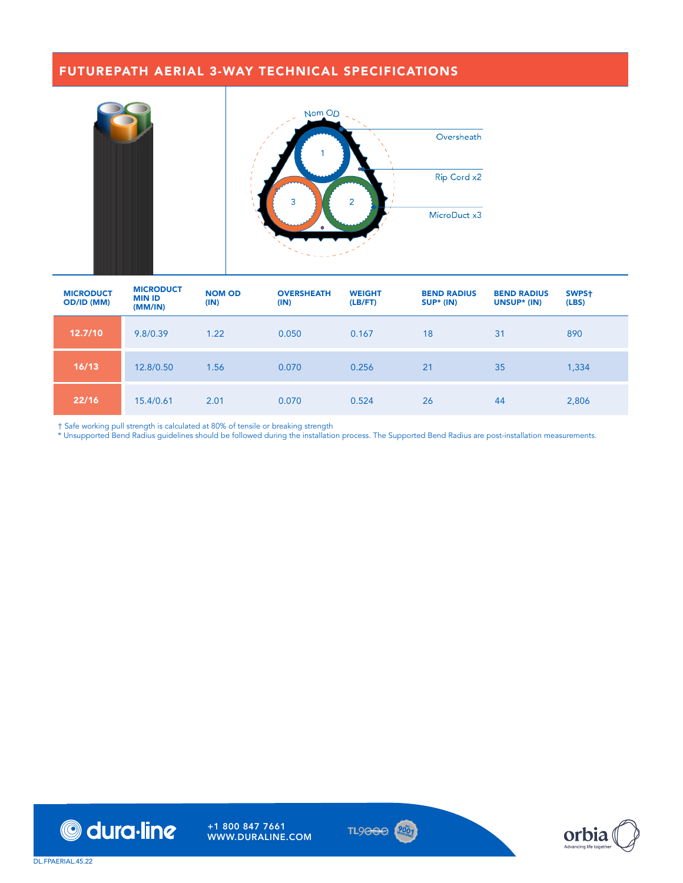## FUTUREPATH AERIAL 3-WAY TECHNICAL SPECIFICATIONS



| <b>MICRODUCT</b><br>OD/ID (MM) | <b>MICRODUCT</b><br><b>MIN ID</b><br>(MM/IN) | <b>NOM OD</b><br>(IN) | <b>OVERSHEATH</b><br>(IN) | <b>WEIGHT</b><br>(LB/FT) | <b>BEND RADIUS</b><br>$SUP* (IN)$ | <b>BEND RADIUS</b><br>UNSUP* (IN) | SWPS <sup>+</sup><br>(LES) |
|--------------------------------|----------------------------------------------|-----------------------|---------------------------|--------------------------|-----------------------------------|-----------------------------------|----------------------------|
| 12.7/10                        | 9.8/0.39                                     | 1.22                  | 0.050                     | 0.167                    | 18                                | 31                                | 890                        |
| 16/13                          | 12.8/0.50                                    | 1.56                  | 0.070                     | 0.256                    | 21                                | 35                                | 1,334                      |
| 22/16                          | 15.4/0.61                                    | 2.01                  | 0.070                     | 0.524                    | 26                                | 44                                | 2,806                      |

† Safe working pull strength is calculated at 80% of tensile or breaking strength





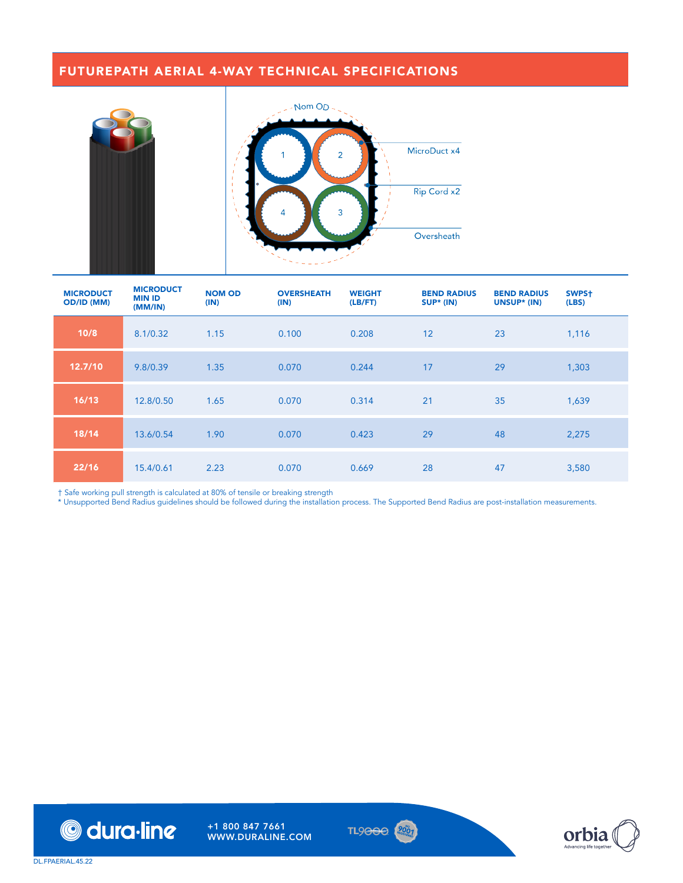### FUTUREPATH AERIAL 4-WAY TECHNICAL SPECIFICATIONS



| <b>MICRODUCT</b><br>OD/ID (MM) | <b>MICRODUCT</b><br><b>MIN ID</b><br>(MM/IN) | <b>NOM OD</b><br>(IN) | <b>OVERSHEATH</b><br>(IN) | <b>WEIGHT</b><br>(LB/FT) | <b>BEND RADIUS</b><br>$SUP* (IN)$ | <b>BEND RADIUS</b><br>UNSUP* (IN) | SWPS <sup>+</sup><br>(LES) |
|--------------------------------|----------------------------------------------|-----------------------|---------------------------|--------------------------|-----------------------------------|-----------------------------------|----------------------------|
| 10/8                           | 8.1/0.32                                     | 1.15                  | 0.100                     | 0.208                    | 12                                | 23                                | 1,116                      |
| 12.7/10                        | 9.8/0.39                                     | 1.35                  | 0.070                     | 0.244                    | 17                                | 29                                | 1,303                      |
| 16/13                          | 12.8/0.50                                    | 1.65                  | 0.070                     | 0.314                    | 21                                | 35                                | 1,639                      |
| 18/14                          | 13.6/0.54                                    | 1.90                  | 0.070                     | 0.423                    | 29                                | 48                                | 2,275                      |
| 22/16                          | 15.4/0.61                                    | 2.23                  | 0.070                     | 0.669                    | 28                                | 47                                | 3,580                      |

† Safe working pull strength is calculated at 80% of tensile or breaking strength